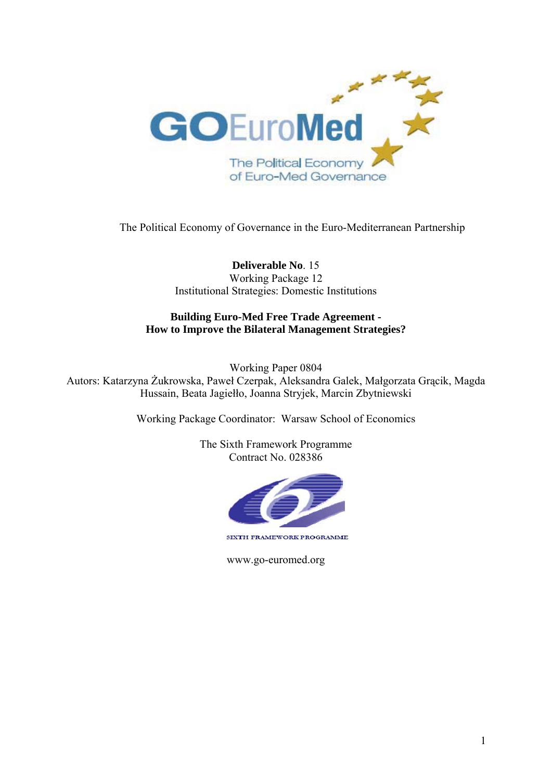

The Political Economy of Governance in the Euro-Mediterranean Partnership

**Deliverable No**. 15 Working Package 12 Institutional Strategies: Domestic Institutions

# **Building Euro-Med Free Trade Agreement - How to Improve the Bilateral Management Strategies?**

Working Paper 0804 Autors: Katarzyna Żukrowska, Paweł Czerpak, Aleksandra Galek, Małgorzata Grącik, Magda Hussain, Beata Jagiełło, Joanna Stryjek, Marcin Zbytniewski

Working Package Coordinator: Warsaw School of Economics

The Sixth Framework Programme Contract No. 028386



www.go-euromed.org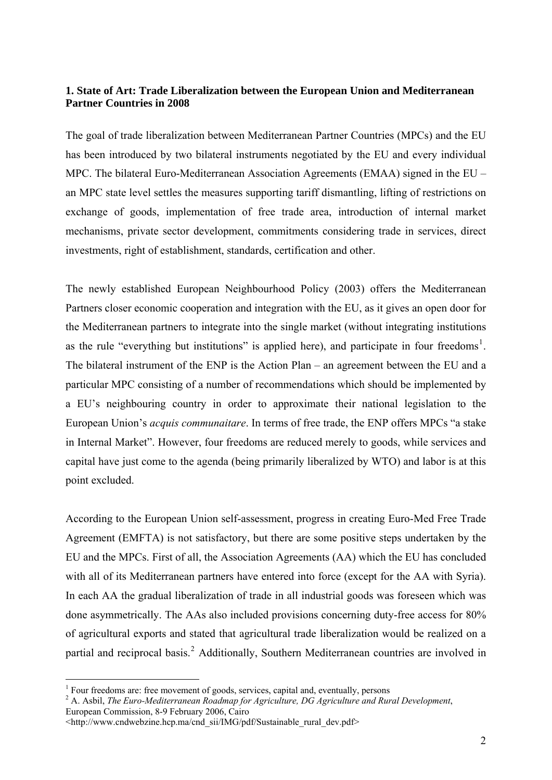# **1. State of Art: Trade Liberalization between the European Union and Mediterranean Partner Countries in 2008**

The goal of trade liberalization between Mediterranean Partner Countries (MPCs) and the EU has been introduced by two bilateral instruments negotiated by the EU and every individual MPC. The bilateral Euro-Mediterranean Association Agreements (EMAA) signed in the EU – an MPC state level settles the measures supporting tariff dismantling, lifting of restrictions on exchange of goods, implementation of free trade area, introduction of internal market mechanisms, private sector development, commitments considering trade in services, direct investments, right of establishment, standards, certification and other.

The newly established European Neighbourhood Policy (2003) offers the Mediterranean Partners closer economic cooperation and integration with the EU, as it gives an open door for the Mediterranean partners to integrate into the single market (without integrating institutions as the rule "everything but institutions" is applied here), and participate in four freedoms<sup>[1](#page-1-0)</sup>. The bilateral instrument of the ENP is the Action Plan – an agreement between the EU and a particular MPC consisting of a number of recommendations which should be implemented by a EU's neighbouring country in order to approximate their national legislation to the European Union's *acquis communaitare*. In terms of free trade, the ENP offers MPCs "a stake in Internal Market". However, four freedoms are reduced merely to goods, while services and capital have just come to the agenda (being primarily liberalized by WTO) and labor is at this point excluded.

According to the European Union self-assessment, progress in creating Euro-Med Free Trade Agreement (EMFTA) is not satisfactory, but there are some positive steps undertaken by the EU and the MPCs. First of all, the Association Agreements (AA) which the EU has concluded with all of its Mediterranean partners have entered into force (except for the AA with Syria). In each AA the gradual liberalization of trade in all industrial goods was foreseen which was done asymmetrically. The AAs also included provisions concerning duty-free access for 80% of agricultural exports and stated that agricultural trade liberalization would be realized on a partial and reciprocal basis.<sup>[2](#page-1-1)</sup> Additionally, Southern Mediterranean countries are involved in

<sup>&</sup>lt;sup>1</sup> Four freedoms are: free movement of goods, services, capital and, eventually, persons

<span id="page-1-1"></span><span id="page-1-0"></span><sup>2</sup> A. Asbil, *The Euro-Mediterranean Roadmap for Agriculture, DG Agriculture and Rural Development*,

European Commission, 8-9 February 2006, Cairo

<sup>&</sup>lt;http://www.cndwebzine.hcp.ma/cnd\_sii/IMG/pdf/Sustainable\_rural\_dev.pdf>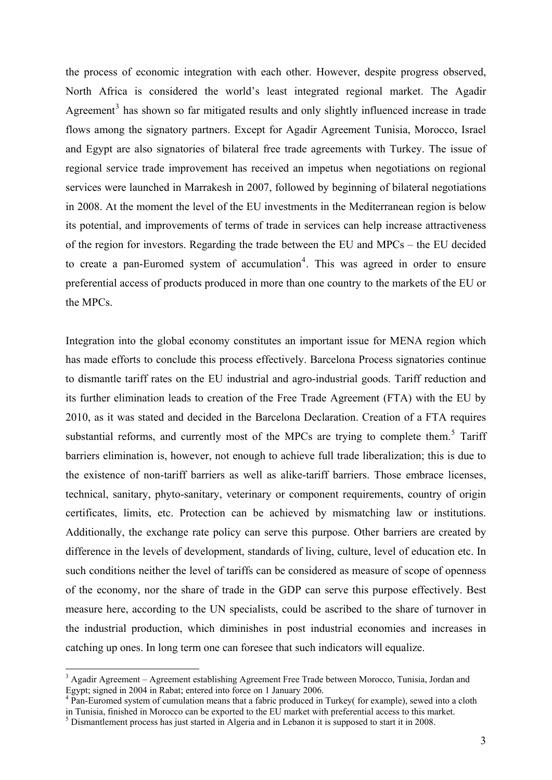the process of economic integration with each other. However, despite progress observed, North Africa is considered the world's least integrated regional market. The Agadir Agreement<sup>[3](#page-2-0)</sup> has shown so far mitigated results and only slightly influenced increase in trade flows among the signatory partners. Except for Agadir Agreement Tunisia, Morocco, Israel and Egypt are also signatories of bilateral free trade agreements with Turkey. The issue of regional service trade improvement has received an impetus when negotiations on regional services were launched in Marrakesh in 2007, followed by beginning of bilateral negotiations in 2008. At the moment the level of the EU investments in the Mediterranean region is below its potential, and improvements of terms of trade in services can help increase attractiveness of the region for investors. Regarding the trade between the EU and MPCs – the EU decided to create a pan-Euromed system of accumulation<sup>[4](#page-2-1)</sup>. This was agreed in order to ensure preferential access of products produced in more than one country to the markets of the EU or the MPCs.

Integration into the global economy constitutes an important issue for MENA region which has made efforts to conclude this process effectively. Barcelona Process signatories continue to dismantle tariff rates on the EU industrial and agro-industrial goods. Tariff reduction and its further elimination leads to creation of the Free Trade Agreement (FTA) with the EU by 2010, as it was stated and decided in the Barcelona Declaration. Creation of a FTA requires substantial reforms, and currently most of the MPCs are trying to complete them.<sup>[5](#page-2-2)</sup> Tariff barriers elimination is, however, not enough to achieve full trade liberalization; this is due to the existence of non-tariff barriers as well as alike-tariff barriers. Those embrace licenses, technical, sanitary, phyto-sanitary, veterinary or component requirements, country of origin certificates, limits, etc. Protection can be achieved by mismatching law or institutions. Additionally, the exchange rate policy can serve this purpose. Other barriers are created by difference in the levels of development, standards of living, culture, level of education etc. In such conditions neither the level of tariffs can be considered as measure of scope of openness of the economy, nor the share of trade in the GDP can serve this purpose effectively. Best measure here, according to the UN specialists, could be ascribed to the share of turnover in the industrial production, which diminishes in post industrial economies and increases in catching up ones. In long term one can foresee that such indicators will equalize.

<span id="page-2-0"></span><sup>&</sup>lt;sup>3</sup> Agadir Agreement – Agreement establishing Agreement Free Trade between Morocco, Tunisia, Jordan and Egypt; signed in 2004 in Rabat; entered into force on 1 January 2006.

<span id="page-2-1"></span><sup>&</sup>lt;sup>4</sup> Pan-Euromed system of cumulation means that a fabric produced in Turkey( for example), sewed into a cloth in Tunisia, finished in Morocco can be exported to the EU market with preferential access to this market. 5 Dismantlement process has just started in Algeria and in Lebanon it is supposed to start it in 2008.

<span id="page-2-2"></span>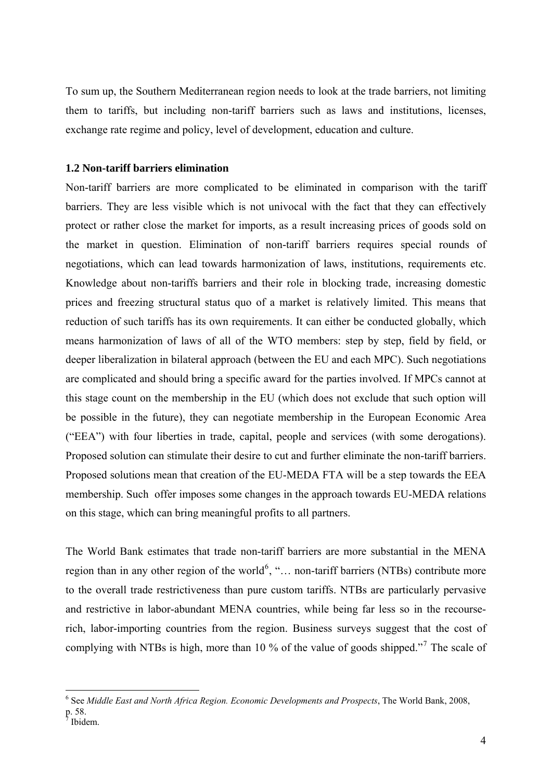To sum up, the Southern Mediterranean region needs to look at the trade barriers, not limiting them to tariffs, but including non-tariff barriers such as laws and institutions, licenses, exchange rate regime and policy, level of development, education and culture.

# **1.2 Non-tariff barriers elimination**

Non-tariff barriers are more complicated to be eliminated in comparison with the tariff barriers. They are less visible which is not univocal with the fact that they can effectively protect or rather close the market for imports, as a result increasing prices of goods sold on the market in question. Elimination of non-tariff barriers requires special rounds of negotiations, which can lead towards harmonization of laws, institutions, requirements etc. Knowledge about non-tariffs barriers and their role in blocking trade, increasing domestic prices and freezing structural status quo of a market is relatively limited. This means that reduction of such tariffs has its own requirements. It can either be conducted globally, which means harmonization of laws of all of the WTO members: step by step, field by field, or deeper liberalization in bilateral approach (between the EU and each MPC). Such negotiations are complicated and should bring a specific award for the parties involved. If MPCs cannot at this stage count on the membership in the EU (which does not exclude that such option will be possible in the future), they can negotiate membership in the European Economic Area ("EEA") with four liberties in trade, capital, people and services (with some derogations). Proposed solution can stimulate their desire to cut and further eliminate the non-tariff barriers. Proposed solutions mean that creation of the EU-MEDA FTA will be a step towards the EEA membership. Such offer imposes some changes in the approach towards EU-MEDA relations on this stage, which can bring meaningful profits to all partners.

The World Bank estimates that trade non-tariff barriers are more substantial in the MENA region than in any other region of the world<sup>[6](#page-3-0)</sup>, "... non-tariff barriers (NTBs) contribute more to the overall trade restrictiveness than pure custom tariffs. NTBs are particularly pervasive and restrictive in labor-abundant MENA countries, while being far less so in the recourserich, labor-importing countries from the region. Business surveys suggest that the cost of complying with NTBs is high, more than 10 % of the value of goods shipped."<sup>[7](#page-3-1)</sup> The scale of

<span id="page-3-0"></span><sup>6</sup> See *Middle East and North Africa Region. Economic Developments and Prospects*, The World Bank, 2008,

<span id="page-3-1"></span>p. 58.<br><sup>7</sup> Ibidem.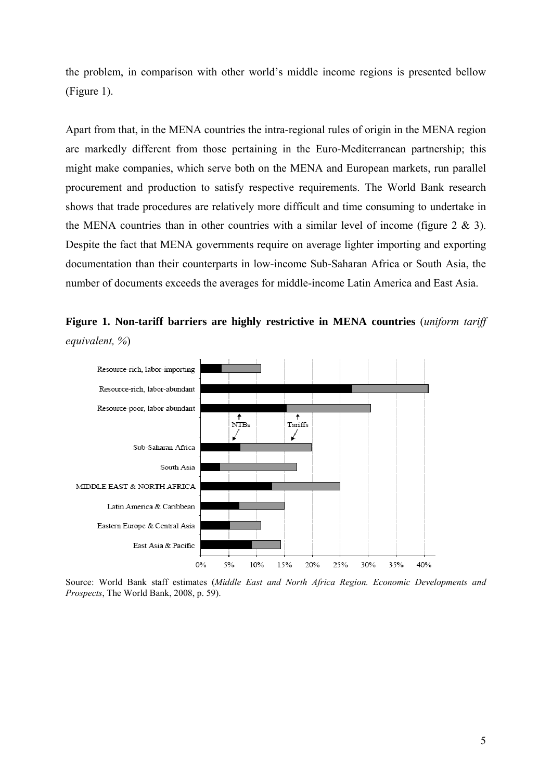the problem, in comparison with other world's middle income regions is presented bellow (Figure 1).

Apart from that, in the MENA countries the intra-regional rules of origin in the MENA region are markedly different from those pertaining in the Euro-Mediterranean partnership; this might make companies, which serve both on the MENA and European markets, run parallel procurement and production to satisfy respective requirements. The World Bank research shows that trade procedures are relatively more difficult and time consuming to undertake in the MENA countries than in other countries with a similar level of income (figure  $2 \& 3$ ). Despite the fact that MENA governments require on average lighter importing and exporting documentation than their counterparts in low-income Sub-Saharan Africa or South Asia, the number of documents exceeds the averages for middle-income Latin America and East Asia.





Source: World Bank staff estimates (*Middle East and North Africa Region. Economic Developments and Prospects*, The World Bank, 2008, p. 59).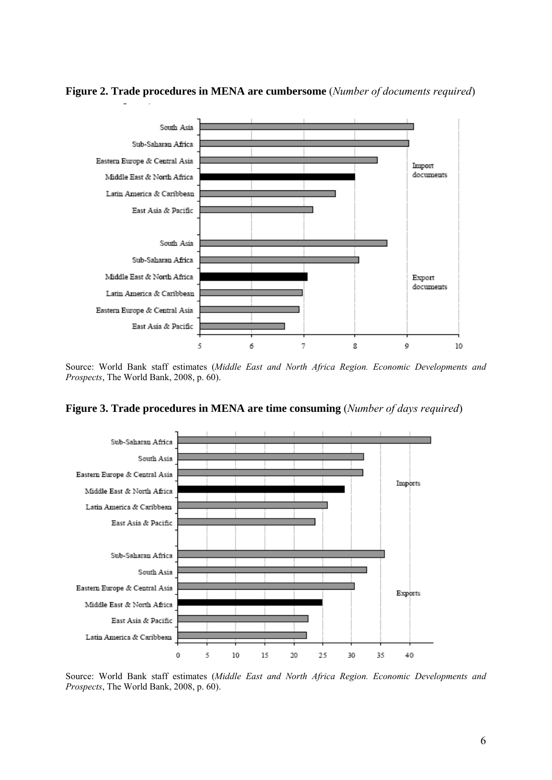

**Figure 2. Trade procedures in MENA are cumbersome** (*Number of documents required*)

Source: World Bank staff estimates (*Middle East and North Africa Region. Economic Developments and Prospects*, The World Bank, 2008, p. 60).

**Figure 3. Trade procedures in MENA are time consuming** (*Number of days required*)



Source: World Bank staff estimates (*Middle East and North Africa Region. Economic Developments and Prospects*, The World Bank, 2008, p. 60).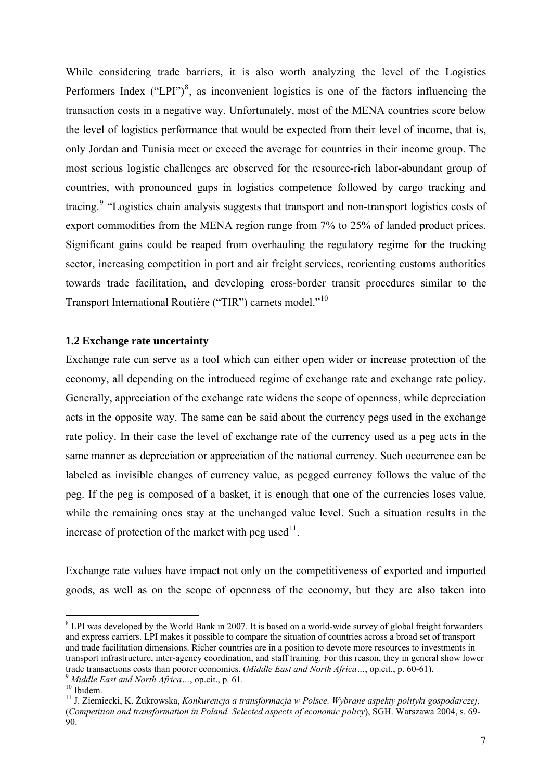While considering trade barriers, it is also worth analyzing the level of the Logistics Performers Index  $("LPI")^8$  $("LPI")^8$ , as inconvenient logistics is one of the factors influencing the transaction costs in a negative way. Unfortunately, most of the MENA countries score below the level of logistics performance that would be expected from their level of income, that is, only Jordan and Tunisia meet or exceed the average for countries in their income group. The most serious logistic challenges are observed for the resource-rich labor-abundant group of countries, with pronounced gaps in logistics competence followed by cargo tracking and tracing.<sup>[9](#page-6-1)</sup> "Logistics chain analysis suggests that transport and non-transport logistics costs of export commodities from the MENA region range from 7% to 25% of landed product prices. Significant gains could be reaped from overhauling the regulatory regime for the trucking sector, increasing competition in port and air freight services, reorienting customs authorities towards trade facilitation, and developing cross-border transit procedures similar to the Transport International Routière ("TIR") carnets model."[10](#page-6-2)

## **1.2 Exchange rate uncertainty**

Exchange rate can serve as a tool which can either open wider or increase protection of the economy, all depending on the introduced regime of exchange rate and exchange rate policy. Generally, appreciation of the exchange rate widens the scope of openness, while depreciation acts in the opposite way. The same can be said about the currency pegs used in the exchange rate policy. In their case the level of exchange rate of the currency used as a peg acts in the same manner as depreciation or appreciation of the national currency. Such occurrence can be labeled as invisible changes of currency value, as pegged currency follows the value of the peg. If the peg is composed of a basket, it is enough that one of the currencies loses value, while the remaining ones stay at the unchanged value level. Such a situation results in the increase of protection of the market with peg used $11$ .

Exchange rate values have impact not only on the competitiveness of exported and imported goods, as well as on the scope of openness of the economy, but they are also taken into

<span id="page-6-0"></span><sup>&</sup>lt;sup>8</sup> LPI was developed by the World Bank in 2007. It is based on a world-wide survey of global freight forwarders and express carriers. LPI makes it possible to compare the situation of countries across a broad set of transport and trade facilitation dimensions. Richer countries are in a position to devote more resources to investments in transport infrastructure, inter-agency coordination, and staff training. For this reason, they in general show lower trade transactions costs than poorer economies. (*Middle East and North Africa* ..., op.cit., p. 60-61).<br><sup>9</sup> *Middle East and North Africa* ..., op.cit., p. 61. <sup>10</sup> Ibidem.

<span id="page-6-2"></span><span id="page-6-1"></span>

<span id="page-6-3"></span><sup>11</sup> J. Ziemiecki, K. Żukrowska, *Konkurencja a transformacja w Polsce. Wybrane aspekty polityki gospodarczej*, (*Competition and transformation in Poland. Selected aspects of economic policy*), SGH. Warszawa 2004, s. 69- 90.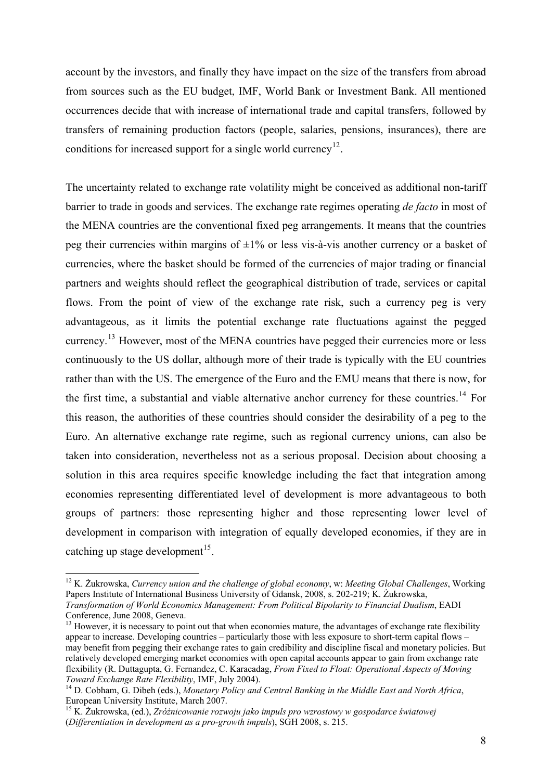account by the investors, and finally they have impact on the size of the transfers from abroad from sources such as the EU budget, IMF, World Bank or Investment Bank. All mentioned occurrences decide that with increase of international trade and capital transfers, followed by transfers of remaining production factors (people, salaries, pensions, insurances), there are conditions for increased support for a single world currency<sup>[12](#page-7-0)</sup>.

The uncertainty related to exchange rate volatility might be conceived as additional non-tariff barrier to trade in goods and services. The exchange rate regimes operating *de facto* in most of the MENA countries are the conventional fixed peg arrangements. It means that the countries peg their currencies within margins of  $\pm 1\%$  or less vis-à-vis another currency or a basket of currencies, where the basket should be formed of the currencies of major trading or financial partners and weights should reflect the geographical distribution of trade, services or capital flows. From the point of view of the exchange rate risk, such a currency peg is very advantageous, as it limits the potential exchange rate fluctuations against the pegged currency.[13](#page-7-1) However, most of the MENA countries have pegged their currencies more or less continuously to the US dollar, although more of their trade is typically with the EU countries rather than with the US. The emergence of the Euro and the EMU means that there is now, for the first time, a substantial and viable alternative anchor currency for these countries.<sup>[14](#page-7-2)</sup> For this reason, the authorities of these countries should consider the desirability of a peg to the Euro. An alternative exchange rate regime, such as regional currency unions, can also be taken into consideration, nevertheless not as a serious proposal. Decision about choosing a solution in this area requires specific knowledge including the fact that integration among economies representing differentiated level of development is more advantageous to both groups of partners: those representing higher and those representing lower level of development in comparison with integration of equally developed economies, if they are in catching up stage development<sup>[15](#page-7-3)</sup>.

<u>.</u>

<span id="page-7-0"></span><sup>12</sup> K. Żukrowska, *Currency union and the challenge of global economy*, w: *Meeting Global Challenges*, Working Papers Institute of International Business University of Gdansk, 2008, s. 202-219; K. Żukrowska, *Transformation of World Economics Management: From Political Bipolarity to Financial Dualism*, EADI Conference, June 2008, Geneva.

<span id="page-7-1"></span> $13$  However, it is necessary to point out that when economies mature, the advantages of exchange rate flexibility appear to increase. Developing countries – particularly those with less exposure to short-term capital flows – may benefit from pegging their exchange rates to gain credibility and discipline fiscal and monetary policies. But relatively developed emerging market economies with open capital accounts appear to gain from exchange rate flexibility (R. Duttagupta, G. Fernandez, C. Karacadag, *From Fixed to Float: Operational Aspects of Moving* 

<span id="page-7-2"></span>*Toward Exchange Rate Flexibility*, IMF, July 2004). 14 D. Cobham, G. Dibeh (eds.), *Monetary Policy and Central Banking in the Middle East and North Africa*, European University Institute, March 2007.

<span id="page-7-3"></span><sup>15</sup> K. Żukrowska, (ed.), *Zróżnicowanie rozwoju jako impuls pro wzrostowy w gospodarce światowej* (*Differentiation in development as a pro-growth impuls*), SGH 2008, s. 215.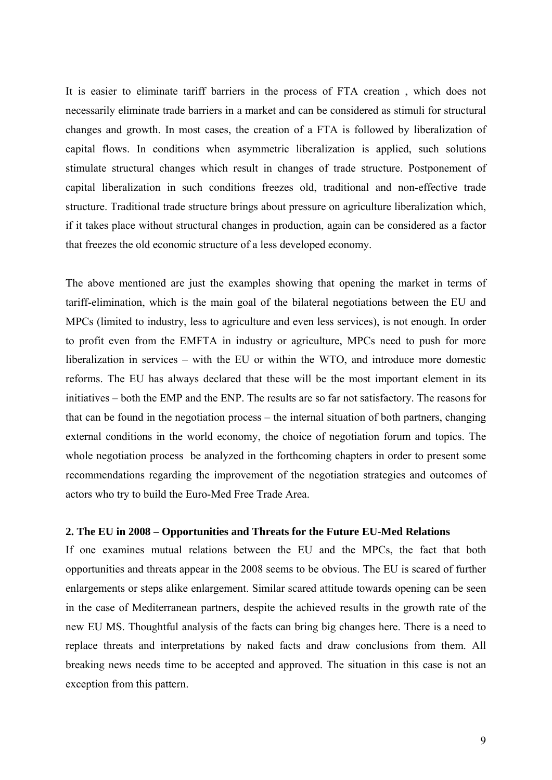It is easier to eliminate tariff barriers in the process of FTA creation , which does not necessarily eliminate trade barriers in a market and can be considered as stimuli for structural changes and growth. In most cases, the creation of a FTA is followed by liberalization of capital flows. In conditions when asymmetric liberalization is applied, such solutions stimulate structural changes which result in changes of trade structure. Postponement of capital liberalization in such conditions freezes old, traditional and non-effective trade structure. Traditional trade structure brings about pressure on agriculture liberalization which, if it takes place without structural changes in production, again can be considered as a factor that freezes the old economic structure of a less developed economy.

The above mentioned are just the examples showing that opening the market in terms of tariff-elimination, which is the main goal of the bilateral negotiations between the EU and MPCs (limited to industry, less to agriculture and even less services), is not enough. In order to profit even from the EMFTA in industry or agriculture, MPCs need to push for more liberalization in services – with the EU or within the WTO, and introduce more domestic reforms. The EU has always declared that these will be the most important element in its initiatives – both the EMP and the ENP. The results are so far not satisfactory. The reasons for that can be found in the negotiation process – the internal situation of both partners, changing external conditions in the world economy, the choice of negotiation forum and topics. The whole negotiation process be analyzed in the forthcoming chapters in order to present some recommendations regarding the improvement of the negotiation strategies and outcomes of actors who try to build the Euro-Med Free Trade Area.

# **2. The EU in 2008 – Opportunities and Threats for the Future EU-Med Relations**

If one examines mutual relations between the EU and the MPCs, the fact that both opportunities and threats appear in the 2008 seems to be obvious. The EU is scared of further enlargements or steps alike enlargement. Similar scared attitude towards opening can be seen in the case of Mediterranean partners, despite the achieved results in the growth rate of the new EU MS. Thoughtful analysis of the facts can bring big changes here. There is a need to replace threats and interpretations by naked facts and draw conclusions from them. All breaking news needs time to be accepted and approved. The situation in this case is not an exception from this pattern.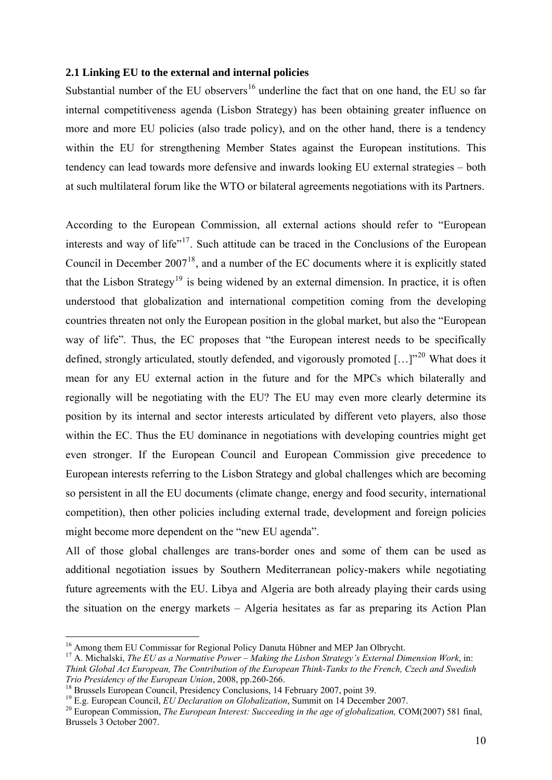# **2.1 Linking EU to the external and internal policies**

Substantial number of the EU observers<sup>[16](#page-9-0)</sup> underline the fact that on one hand, the EU so far internal competitiveness agenda (Lisbon Strategy) has been obtaining greater influence on more and more EU policies (also trade policy), and on the other hand, there is a tendency within the EU for strengthening Member States against the European institutions. This tendency can lead towards more defensive and inwards looking EU external strategies – both at such multilateral forum like the WTO or bilateral agreements negotiations with its Partners.

According to the European Commission, all external actions should refer to "European interests and way of life"<sup>[17](#page-9-1)</sup>. Such attitude can be traced in the Conclusions of the European Council in December 2007[18](#page-9-2), and a number of the EC documents where it is explicitly stated that the Lisbon Strategy<sup>[19](#page-9-3)</sup> is being widened by an external dimension. In practice, it is often understood that globalization and international competition coming from the developing countries threaten not only the European position in the global market, but also the "European way of life". Thus, the EC proposes that "the European interest needs to be specifically defined, strongly articulated, stoutly defended, and vigorously promoted  $\left[... \right]^{20}$  $\left[... \right]^{20}$  $\left[... \right]^{20}$  What does it mean for any EU external action in the future and for the MPCs which bilaterally and regionally will be negotiating with the EU? The EU may even more clearly determine its position by its internal and sector interests articulated by different veto players, also those within the EC. Thus the EU dominance in negotiations with developing countries might get even stronger. If the European Council and European Commission give precedence to European interests referring to the Lisbon Strategy and global challenges which are becoming so persistent in all the EU documents (climate change, energy and food security, international competition), then other policies including external trade, development and foreign policies might become more dependent on the "new EU agenda".

All of those global challenges are trans-border ones and some of them can be used as additional negotiation issues by Southern Mediterranean policy-makers while negotiating future agreements with the EU. Libya and Algeria are both already playing their cards using the situation on the energy markets – Algeria hesitates as far as preparing its Action Plan

<span id="page-9-0"></span><sup>&</sup>lt;sup>16</sup> Among them EU Commissar for Regional Policy Danuta Hübner and MEP Jan Olbrycht.

<span id="page-9-1"></span><sup>17</sup> A. Michalski, *The EU as a Normative Power – Making the Lisbon Strategy's External Dimension Work*, in: *Think Global Act European, The Contribution of the European Think-Tanks to the French, Czech and Swedish* 

<span id="page-9-3"></span>

<span id="page-9-2"></span><sup>&</sup>lt;sup>18</sup> Brussels European Council, Presidency Conclusions, 14 February 2007, point 39.<br><sup>19</sup> E.g. European Council, *EU Declaration on Globalization*, Summit on 14 December 2007.

<span id="page-9-4"></span><sup>&</sup>lt;sup>20</sup> European Commission, *The European Interest: Succeeding in the age of globalization*, COM(2007) 581 final, Brussels 3 October 2007.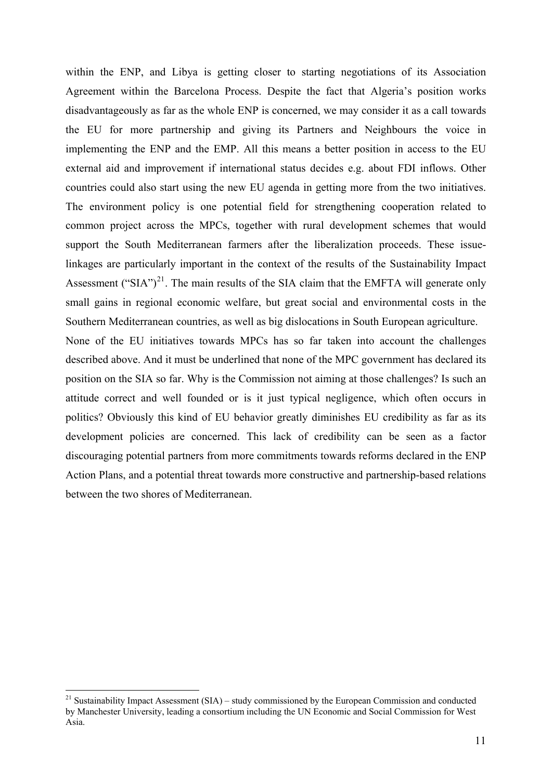within the ENP, and Libya is getting closer to starting negotiations of its Association Agreement within the Barcelona Process. Despite the fact that Algeria's position works disadvantageously as far as the whole ENP is concerned, we may consider it as a call towards the EU for more partnership and giving its Partners and Neighbours the voice in implementing the ENP and the EMP. All this means a better position in access to the EU external aid and improvement if international status decides e.g. about FDI inflows. Other countries could also start using the new EU agenda in getting more from the two initiatives. The environment policy is one potential field for strengthening cooperation related to common project across the MPCs, together with rural development schemes that would support the South Mediterranean farmers after the liberalization proceeds. These issuelinkages are particularly important in the context of the results of the Sustainability Impact Assessment ("SIA")<sup>[21](#page-10-0)</sup>. The main results of the SIA claim that the EMFTA will generate only small gains in regional economic welfare, but great social and environmental costs in the Southern Mediterranean countries, as well as big dislocations in South European agriculture. None of the EU initiatives towards MPCs has so far taken into account the challenges

described above. And it must be underlined that none of the MPC government has declared its position on the SIA so far. Why is the Commission not aiming at those challenges? Is such an attitude correct and well founded or is it just typical negligence, which often occurs in politics? Obviously this kind of EU behavior greatly diminishes EU credibility as far as its development policies are concerned. This lack of credibility can be seen as a factor discouraging potential partners from more commitments towards reforms declared in the ENP Action Plans, and a potential threat towards more constructive and partnership-based relations between the two shores of Mediterranean.

<span id="page-10-0"></span> $21$  Sustainability Impact Assessment (SIA) – study commissioned by the European Commission and conducted by Manchester University, leading a consortium including the UN Economic and Social Commission for West Asia.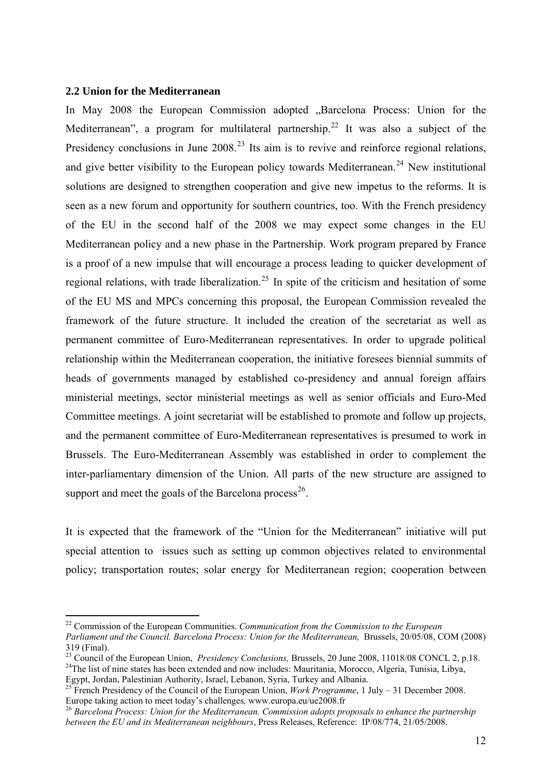### **2.2 Union for the Mediterranean**

1

In May 2008 the European Commission adopted "Barcelona Process: Union for the Mediterranean", a program for multilateral partnership.<sup>[22](#page-11-0)</sup> It was also a subject of the Presidency conclusions in June 2008.<sup>[23](#page-11-1)</sup> Its aim is to revive and reinforce regional relations, and give better visibility to the European policy towards Mediterranean.<sup>[24](#page-11-2)</sup> New institutional solutions are designed to strengthen cooperation and give new impetus to the reforms. It is seen as a new forum and opportunity for southern countries, too. With the French presidency of the EU in the second half of the 2008 we may expect some changes in the EU Mediterranean policy and a new phase in the Partnership. Work program prepared by France is a proof of a new impulse that will encourage a process leading to quicker development of regional relations, with trade liberalization.<sup>[25](#page-11-3)</sup> In spite of the criticism and hesitation of some of the EU MS and MPCs concerning this proposal, the European Commission revealed the framework of the future structure. It included the creation of the secretariat as well as permanent committee of Euro-Mediterranean representatives. In order to upgrade political relationship within the Mediterranean cooperation, the initiative foresees biennial summits of heads of governments managed by established co-presidency and annual foreign affairs ministerial meetings, sector ministerial meetings as well as senior officials and Euro-Med Committee meetings. A joint secretariat will be established to promote and follow up projects, and the permanent committee of Euro-Mediterranean representatives is presumed to work in Brussels. The Euro-Mediterranean Assembly was established in order to complement the inter-parliamentary dimension of the Union. All parts of the new structure are assigned to support and meet the goals of the Barcelona process<sup>[26](#page-11-4)</sup>.

It is expected that the framework of the "Union for the Mediterranean" initiative will put special attention to issues such as setting up common objectives related to environmental policy; transportation routes; solar energy for Mediterranean region; cooperation between

<span id="page-11-0"></span><sup>22</sup> Commission of the European Communities. *Communication from the Commission to the European* 

*Parliament and the Council. Barcelona Process: Union for the Mediterranean,* Brussels, 20/05/08, COM (2008)

<sup>319 (</sup>Final).<br><sup>23</sup> Council of the European Union, *Presidency Conclusions*, Brussels, 20 June 2008, 11018/08 CONCL 2, p.18.

<span id="page-11-2"></span><span id="page-11-1"></span><sup>&</sup>lt;sup>24</sup>The list of nine states has been extended and now includes: Mauritania, Morocco, Algeria, Tunisia, Libya, Egypt, Jordan, Palestinian Authority, Israel, Lebanon, Syria, Turkey and Albania.

<span id="page-11-3"></span><sup>&</sup>lt;sup>25</sup> French Presidency of the Council of the European Union, *Work Programme*, 1 July – 31 December 2008. Europe taking action to meet today's challenges, www.europa.eu/ue2008.fr<br><sup>26</sup> *Barcelona Process: Union for the Mediterranean. Commission adopts proposals to enhance the partnership* 

<span id="page-11-4"></span>*between the EU and its Mediterranean neighbours*, Press Releases, Reference: IP/08/774, 21/05/2008.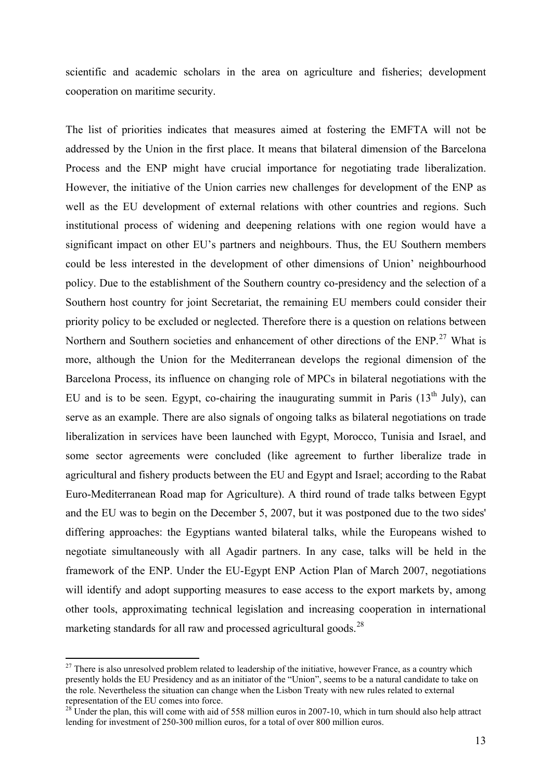scientific and academic scholars in the area on agriculture and fisheries; development cooperation on maritime security.

The list of priorities indicates that measures aimed at fostering the EMFTA will not be addressed by the Union in the first place. It means that bilateral dimension of the Barcelona Process and the ENP might have crucial importance for negotiating trade liberalization. However, the initiative of the Union carries new challenges for development of the ENP as well as the EU development of external relations with other countries and regions. Such institutional process of widening and deepening relations with one region would have a significant impact on other EU's partners and neighbours. Thus, the EU Southern members could be less interested in the development of other dimensions of Union' neighbourhood policy. Due to the establishment of the Southern country co-presidency and the selection of a Southern host country for joint Secretariat, the remaining EU members could consider their priority policy to be excluded or neglected. Therefore there is a question on relations between Northern and Southern societies and enhancement of other directions of the ENP.<sup>[27](#page-12-0)</sup> What is more, although the Union for the Mediterranean develops the regional dimension of the Barcelona Process, its influence on changing role of MPCs in bilateral negotiations with the EU and is to be seen. Egypt, co-chairing the inaugurating summit in Paris  $(13<sup>th</sup>$  July), can serve as an example. There are also signals of ongoing talks as bilateral negotiations on trade liberalization in services have been launched with Egypt, Morocco, Tunisia and Israel, and some sector agreements were concluded (like agreement to further liberalize trade in agricultural and fishery products between the EU and Egypt and Israel; according to the Rabat Euro-Mediterranean Road map for Agriculture). A third round of trade talks between Egypt and the EU was to begin on the December 5, 2007, but it was postponed due to the two sides' differing approaches: the Egyptians wanted bilateral talks, while the Europeans wished to negotiate simultaneously with all Agadir partners. In any case, talks will be held in the framework of the ENP. Under the EU-Egypt ENP Action Plan of March 2007, negotiations will identify and adopt supporting measures to ease access to the export markets by, among other tools, approximating technical legislation and increasing cooperation in international marketing standards for all raw and processed agricultural goods.<sup>[28](#page-12-1)</sup>

<span id="page-12-0"></span> $27$  There is also unresolved problem related to leadership of the initiative, however France, as a country which presently holds the EU Presidency and as an initiator of the "Union", seems to be a natural candidate to take on the role. Nevertheless the situation can change when the Lisbon Treaty with new rules related to external representation of the EU comes into force.

<span id="page-12-1"></span> $28^{\circ}$ Under the plan, this will come with aid of 558 million euros in 2007-10, which in turn should also help attract lending for investment of 250-300 million euros, for a total of over 800 million euros.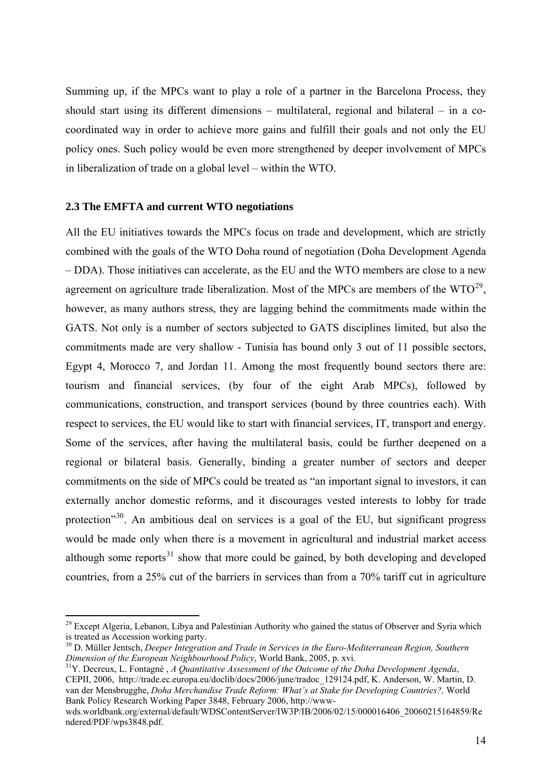Summing up, if the MPCs want to play a role of a partner in the Barcelona Process, they should start using its different dimensions – multilateral, regional and bilateral – in a cocoordinated way in order to achieve more gains and fulfill their goals and not only the EU policy ones. Such policy would be even more strengthened by deeper involvement of MPCs in liberalization of trade on a global level – within the WTO.

# **2.3 The EMFTA and current WTO negotiations**

1

All the EU initiatives towards the MPCs focus on trade and development, which are strictly combined with the goals of the WTO Doha round of negotiation (Doha Development Agenda – DDA). Those initiatives can accelerate, as the EU and the WTO members are close to a new agreement on agriculture trade liberalization. Most of the MPCs are members of the  $WTO^{29}$  $WTO^{29}$  $WTO^{29}$ , however, as many authors stress, they are lagging behind the commitments made within the GATS. Not only is a number of sectors subjected to GATS disciplines limited, but also the commitments made are very shallow - Tunisia has bound only 3 out of 11 possible sectors, Egypt 4, Morocco 7, and Jordan 11. Among the most frequently bound sectors there are: tourism and financial services, (by four of the eight Arab MPCs), followed by communications, construction, and transport services (bound by three countries each). With respect to services, the EU would like to start with financial services, IT, transport and energy. Some of the services, after having the multilateral basis, could be further deepened on a regional or bilateral basis. Generally, binding a greater number of sectors and deeper commitments on the side of MPCs could be treated as "an important signal to investors, it can externally anchor domestic reforms, and it discourages vested interests to lobby for trade protection<sup>"[30](#page-13-1)</sup>. An ambitious deal on services is a goal of the EU, but significant progress would be made only when there is a movement in agricultural and industrial market access although some reports<sup>[31](#page-13-2)</sup> show that more could be gained, by both developing and developed countries, from a 25% cut of the barriers in services than from a 70% tariff cut in agriculture

<span id="page-13-0"></span><sup>&</sup>lt;sup>29</sup> Except Algeria, Lebanon, Libya and Palestinian Authority who gained the status of Observer and Syria which is treated as Accession working party.

<span id="page-13-1"></span><sup>30</sup> D. Müller Jentsch, *Deeper Integration and Trade in Services in the Euro-Mediterranean Region, Southern Dimension of the European Neighbourhood Policy*, World Bank, 2005, p. xvi.<br><sup>31</sup>Y. Decreux, L. Fontagné , *A Quantitative Assessment of the Outcome of the Doha Development Agenda*,

<span id="page-13-2"></span>CEPII, 2006, http://trade.ec.europa.eu/doclib/docs/2006/june/tradoc\_129124.pdf, K. Anderson, W. Martin, D. van der Mensbrugghe, *Doha Merchandise Trade Reform: What's at Stake for Developing Countries?,* World Bank Policy Research Working Paper 3848, February 2006, http://www-

wds.worldbank.org/external/default/WDSContentServer/IW3P/IB/2006/02/15/000016406\_20060215164859/Re ndered/PDF/wps3848.pdf.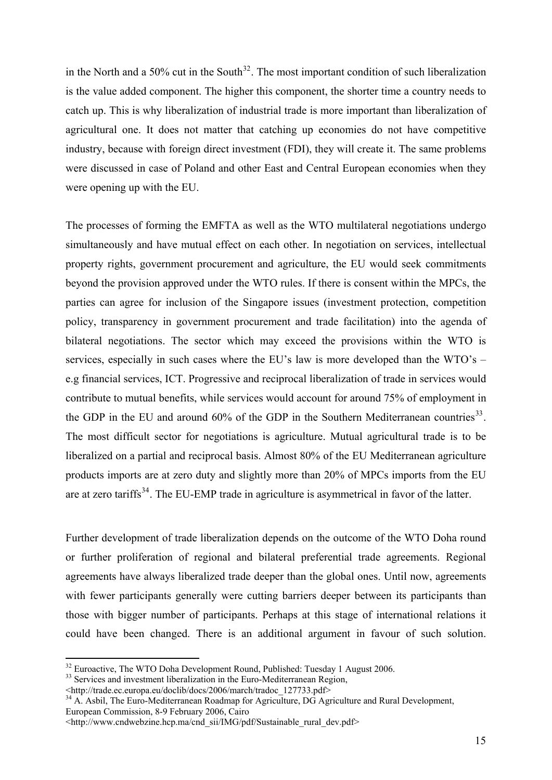in the North and a 50% cut in the South<sup>[32](#page-14-0)</sup>. The most important condition of such liberalization is the value added component. The higher this component, the shorter time a country needs to catch up. This is why liberalization of industrial trade is more important than liberalization of agricultural one. It does not matter that catching up economies do not have competitive industry, because with foreign direct investment (FDI), they will create it. The same problems were discussed in case of Poland and other East and Central European economies when they were opening up with the EU.

The processes of forming the EMFTA as well as the WTO multilateral negotiations undergo simultaneously and have mutual effect on each other. In negotiation on services, intellectual property rights, government procurement and agriculture, the EU would seek commitments beyond the provision approved under the WTO rules. If there is consent within the MPCs, the parties can agree for inclusion of the Singapore issues (investment protection, competition policy, transparency in government procurement and trade facilitation) into the agenda of bilateral negotiations. The sector which may exceed the provisions within the WTO is services, especially in such cases where the EU's law is more developed than the WTO's – e.g financial services, ICT. Progressive and reciprocal liberalization of trade in services would contribute to mutual benefits, while services would account for around 75% of employment in the GDP in the EU and around  $60\%$  of the GDP in the Southern Mediterranean countries<sup>[33](#page-14-1)</sup>. The most difficult sector for negotiations is agriculture. Mutual agricultural trade is to be liberalized on a partial and reciprocal basis. Almost 80% of the EU Mediterranean agriculture products imports are at zero duty and slightly more than 20% of MPCs imports from the EU are at zero tariffs<sup>[34](#page-14-2)</sup>. The EU-EMP trade in agriculture is asymmetrical in favor of the latter.

Further development of trade liberalization depends on the outcome of the WTO Doha round or further proliferation of regional and bilateral preferential trade agreements. Regional agreements have always liberalized trade deeper than the global ones. Until now, agreements with fewer participants generally were cutting barriers deeper between its participants than those with bigger number of participants. Perhaps at this stage of international relations it could have been changed. There is an additional argument in favour of such solution.

<sup>1</sup>  $32$  Euroactive, The WTO Doha Development Round, Published: Tuesday 1 August 2006.

<span id="page-14-1"></span><span id="page-14-0"></span><sup>&</sup>lt;sup>33</sup> Services and investment liberalization in the Euro-Mediterranean Region,  $\langle$ http://trade.ec.europa.eu/doclib/docs/2006/march/tradoc 127733.pdf>

<span id="page-14-2"></span> $^{34}$  A. Asbil, The Euro-Mediterranean Roadmap for Agriculture, DG Agriculture and Rural Development, European Commission, 8-9 February 2006, Cairo

<sup>&</sup>lt;http://www.cndwebzine.hcp.ma/cnd\_sii/IMG/pdf/Sustainable\_rural\_dev.pdf>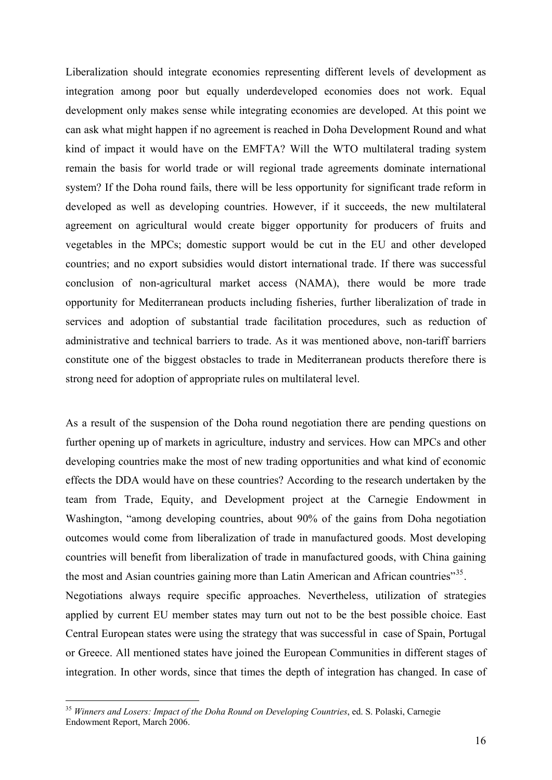Liberalization should integrate economies representing different levels of development as integration among poor but equally underdeveloped economies does not work. Equal development only makes sense while integrating economies are developed. At this point we can ask what might happen if no agreement is reached in Doha Development Round and what kind of impact it would have on the EMFTA? Will the WTO multilateral trading system remain the basis for world trade or will regional trade agreements dominate international system? If the Doha round fails, there will be less opportunity for significant trade reform in developed as well as developing countries. However, if it succeeds, the new multilateral agreement on agricultural would create bigger opportunity for producers of fruits and vegetables in the MPCs; domestic support would be cut in the EU and other developed countries; and no export subsidies would distort international trade. If there was successful conclusion of non-agricultural market access (NAMA), there would be more trade opportunity for Mediterranean products including fisheries, further liberalization of trade in services and adoption of substantial trade facilitation procedures, such as reduction of administrative and technical barriers to trade. As it was mentioned above, non-tariff barriers constitute one of the biggest obstacles to trade in Mediterranean products therefore there is strong need for adoption of appropriate rules on multilateral level.

As a result of the suspension of the Doha round negotiation there are pending questions on further opening up of markets in agriculture, industry and services. How can MPCs and other developing countries make the most of new trading opportunities and what kind of economic effects the DDA would have on these countries? According to the research undertaken by the team from Trade, Equity, and Development project at the Carnegie Endowment in Washington, "among developing countries, about 90% of the gains from Doha negotiation outcomes would come from liberalization of trade in manufactured goods. Most developing countries will benefit from liberalization of trade in manufactured goods, with China gaining the most and Asian countries gaining more than Latin American and African countries"<sup>[35](#page-15-0)</sup>. Negotiations always require specific approaches. Nevertheless, utilization of strategies applied by current EU member states may turn out not to be the best possible choice. East Central European states were using the strategy that was successful in case of Spain, Portugal or Greece. All mentioned states have joined the European Communities in different stages of integration. In other words, since that times the depth of integration has changed. In case of

<span id="page-15-0"></span><sup>35</sup> *Winners and Losers: Impact of the Doha Round on Developing Countries*, ed. S. Polaski, Carnegie Endowment Report, March 2006.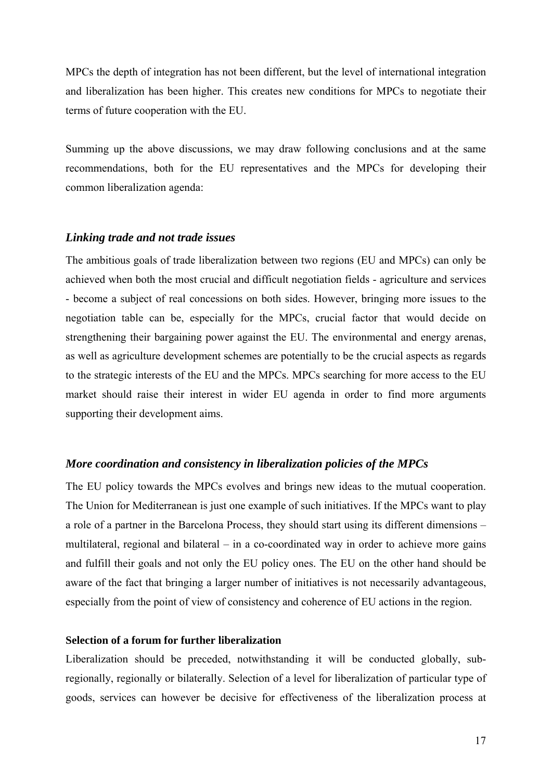MPCs the depth of integration has not been different, but the level of international integration and liberalization has been higher. This creates new conditions for MPCs to negotiate their terms of future cooperation with the EU.

Summing up the above discussions, we may draw following conclusions and at the same recommendations, both for the EU representatives and the MPCs for developing their common liberalization agenda:

## *Linking trade and not trade issues*

The ambitious goals of trade liberalization between two regions (EU and MPCs) can only be achieved when both the most crucial and difficult negotiation fields - agriculture and services - become a subject of real concessions on both sides. However, bringing more issues to the negotiation table can be, especially for the MPCs, crucial factor that would decide on strengthening their bargaining power against the EU. The environmental and energy arenas, as well as agriculture development schemes are potentially to be the crucial aspects as regards to the strategic interests of the EU and the MPCs. MPCs searching for more access to the EU market should raise their interest in wider EU agenda in order to find more arguments supporting their development aims.

## *More coordination and consistency in liberalization policies of the MPCs*

The EU policy towards the MPCs evolves and brings new ideas to the mutual cooperation. The Union for Mediterranean is just one example of such initiatives. If the MPCs want to play a role of a partner in the Barcelona Process, they should start using its different dimensions – multilateral, regional and bilateral – in a co-coordinated way in order to achieve more gains and fulfill their goals and not only the EU policy ones. The EU on the other hand should be aware of the fact that bringing a larger number of initiatives is not necessarily advantageous, especially from the point of view of consistency and coherence of EU actions in the region.

## **Selection of a forum for further liberalization**

Liberalization should be preceded, notwithstanding it will be conducted globally, subregionally, regionally or bilaterally. Selection of a level for liberalization of particular type of goods, services can however be decisive for effectiveness of the liberalization process at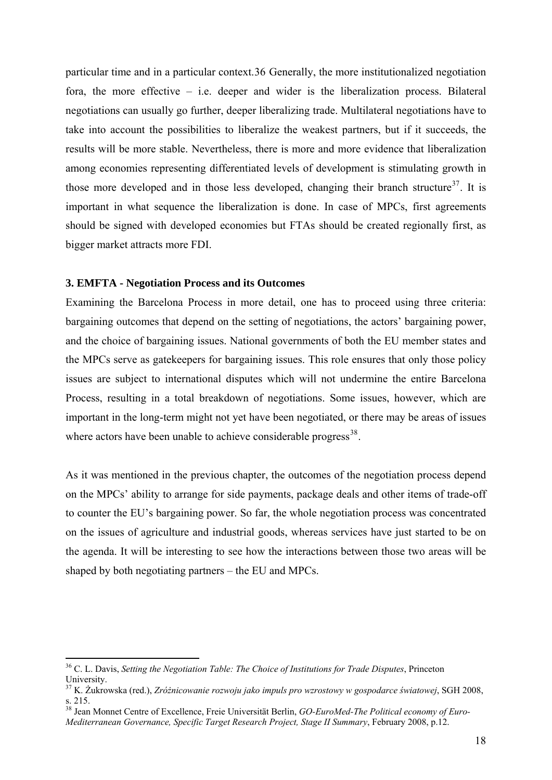particular time and in a particular context.[36](#page-17-0) Generally, the more institutionalized negotiation fora, the more effective – i.e. deeper and wider is the liberalization process. Bilateral negotiations can usually go further, deeper liberalizing trade. Multilateral negotiations have to take into account the possibilities to liberalize the weakest partners, but if it succeeds, the results will be more stable. Nevertheless, there is more and more evidence that liberalization among economies representing differentiated levels of development is stimulating growth in those more developed and in those less developed, changing their branch structure<sup>[37](#page-17-1)</sup>. It is important in what sequence the liberalization is done. In case of MPCs, first agreements should be signed with developed economies but FTAs should be created regionally first, as bigger market attracts more FDI.

#### **3. EMFTA - Negotiation Process and its Outcomes**

Examining the Barcelona Process in more detail, one has to proceed using three criteria: bargaining outcomes that depend on the setting of negotiations, the actors' bargaining power, and the choice of bargaining issues. National governments of both the EU member states and the MPCs serve as gatekeepers for bargaining issues. This role ensures that only those policy issues are subject to international disputes which will not undermine the entire Barcelona Process, resulting in a total breakdown of negotiations. Some issues, however, which are important in the long-term might not yet have been negotiated, or there may be areas of issues where actors have been unable to achieve considerable progress $^{38}$  $^{38}$  $^{38}$ .

As it was mentioned in the previous chapter, the outcomes of the negotiation process depend on the MPCs' ability to arrange for side payments, package deals and other items of trade-off to counter the EU's bargaining power. So far, the whole negotiation process was concentrated on the issues of agriculture and industrial goods, whereas services have just started to be on the agenda. It will be interesting to see how the interactions between those two areas will be shaped by both negotiating partners – the EU and MPCs.

<span id="page-17-0"></span><sup>36</sup> C. L. Davis, *Setting the Negotiation Table: The Choice of Institutions for Trade Disputes*, Princeton University.

<span id="page-17-1"></span><sup>37</sup> K. Żukrowska (red.), *Zróżnicowanie rozwoju jako impuls pro wzrostowy w gospodarce światowej*, SGH 2008, s. 215.

<span id="page-17-2"></span><sup>38</sup> Jean Monnet Centre of Excellence, Freie Universität Berlin, *GO-EuroMed-The Political economy of Euro-Mediterranean Governance, Specific Target Research Project, Stage II Summary*, February 2008, p.12.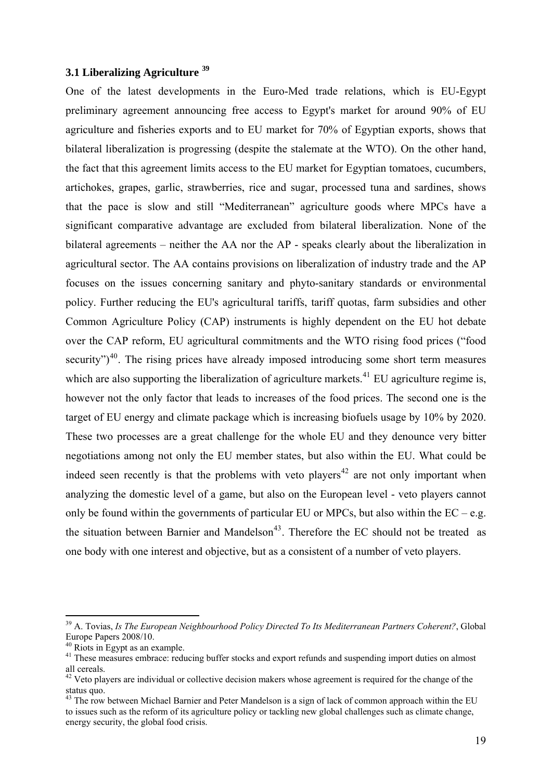# **3.1 Liberalizing Agriculture [39](#page-18-0)**

One of the latest developments in the Euro-Med trade relations, which is EU-Egypt preliminary agreement announcing free access to Egypt's market for around 90% of EU agriculture and fisheries exports and to EU market for 70% of Egyptian exports, shows that bilateral liberalization is progressing (despite the stalemate at the WTO). On the other hand, the fact that this agreement limits access to the EU market for Egyptian tomatoes, cucumbers, artichokes, grapes, garlic, strawberries, rice and sugar, processed tuna and sardines, shows that the pace is slow and still "Mediterranean" agriculture goods where MPCs have a significant comparative advantage are excluded from bilateral liberalization. None of the bilateral agreements – neither the AA nor the AP - speaks clearly about the liberalization in agricultural sector. The AA contains provisions on liberalization of industry trade and the AP focuses on the issues concerning sanitary and phyto-sanitary standards or environmental policy. Further reducing the EU's agricultural tariffs, tariff quotas, farm subsidies and other Common Agriculture Policy (CAP) instruments is highly dependent on the EU hot debate over the CAP reform, EU agricultural commitments and the WTO rising food prices ("food security" $)^{40}$  $)^{40}$  $)^{40}$ . The rising prices have already imposed introducing some short term measures which are also supporting the liberalization of agriculture markets.<sup>[41](#page-18-2)</sup> EU agriculture regime is, however not the only factor that leads to increases of the food prices. The second one is the target of EU energy and climate package which is increasing biofuels usage by 10% by 2020. These two processes are a great challenge for the whole EU and they denounce very bitter negotiations among not only the EU member states, but also within the EU. What could be indeed seen recently is that the problems with veto players<sup>[42](#page-18-3)</sup> are not only important when analyzing the domestic level of a game, but also on the European level - veto players cannot only be found within the governments of particular EU or MPCs, but also within the  $EC - e.g.$ the situation between Barnier and Mandelson<sup>[43](#page-18-4)</sup>. Therefore the EC should not be treated as one body with one interest and objective, but as a consistent of a number of veto players.

<span id="page-18-0"></span><sup>39</sup> A. Tovias, *Is The European Neighbourhood Policy Directed To Its Mediterranean Partners Coherent?*, Global Europe Papers 2008/10.

 $40$  Riots in Egypt as an example.

<span id="page-18-2"></span><span id="page-18-1"></span><sup>&</sup>lt;sup>41</sup> These measures embrace: reducing buffer stocks and export refunds and suspending import duties on almost all cereals.

<span id="page-18-3"></span> $42$  Veto players are individual or collective decision makers whose agreement is required for the change of the status quo.

<span id="page-18-4"></span><sup>&</sup>lt;sup>43</sup> The row between Michael Barnier and Peter Mandelson is a sign of lack of common approach within the EU to issues such as the reform of its agriculture policy or tackling new global challenges such as climate change, energy security, the global food crisis.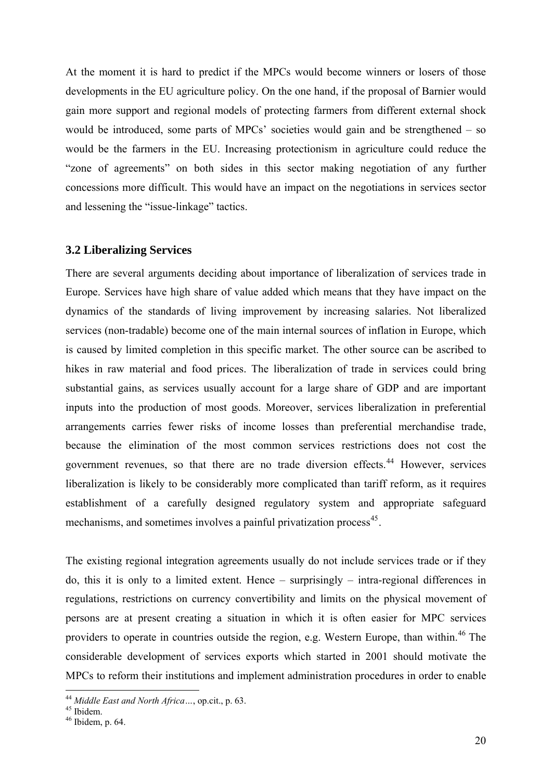At the moment it is hard to predict if the MPCs would become winners or losers of those developments in the EU agriculture policy. On the one hand, if the proposal of Barnier would gain more support and regional models of protecting farmers from different external shock would be introduced, some parts of MPCs' societies would gain and be strengthened – so would be the farmers in the EU. Increasing protectionism in agriculture could reduce the "zone of agreements" on both sides in this sector making negotiation of any further concessions more difficult. This would have an impact on the negotiations in services sector and lessening the "issue-linkage" tactics.

## **3.2 Liberalizing Services**

There are several arguments deciding about importance of liberalization of services trade in Europe. Services have high share of value added which means that they have impact on the dynamics of the standards of living improvement by increasing salaries. Not liberalized services (non-tradable) become one of the main internal sources of inflation in Europe, which is caused by limited completion in this specific market. The other source can be ascribed to hikes in raw material and food prices. The liberalization of trade in services could bring substantial gains, as services usually account for a large share of GDP and are important inputs into the production of most goods. Moreover, services liberalization in preferential arrangements carries fewer risks of income losses than preferential merchandise trade, because the elimination of the most common services restrictions does not cost the government revenues, so that there are no trade diversion effects.<sup>[44](#page-19-0)</sup> However, services liberalization is likely to be considerably more complicated than tariff reform, as it requires establishment of a carefully designed regulatory system and appropriate safeguard mechanisms, and sometimes involves a painful privatization process<sup>[45](#page-19-1)</sup>.

The existing regional integration agreements usually do not include services trade or if they do, this it is only to a limited extent. Hence – surprisingly – intra-regional differences in regulations, restrictions on currency convertibility and limits on the physical movement of persons are at present creating a situation in which it is often easier for MPC services providers to operate in countries outside the region, e.g. Western Europe, than within.<sup>[46](#page-19-2)</sup> The considerable development of services exports which started in 2001 should motivate the MPCs to reform their institutions and implement administration procedures in order to enable

<span id="page-19-0"></span><sup>&</sup>lt;sup>44</sup> *Middle East and North Africa* ..., op.cit., p. 63.<br><sup>45</sup> Ibidem.

<span id="page-19-1"></span>

<span id="page-19-2"></span> $46$  Ibidem, p. 64.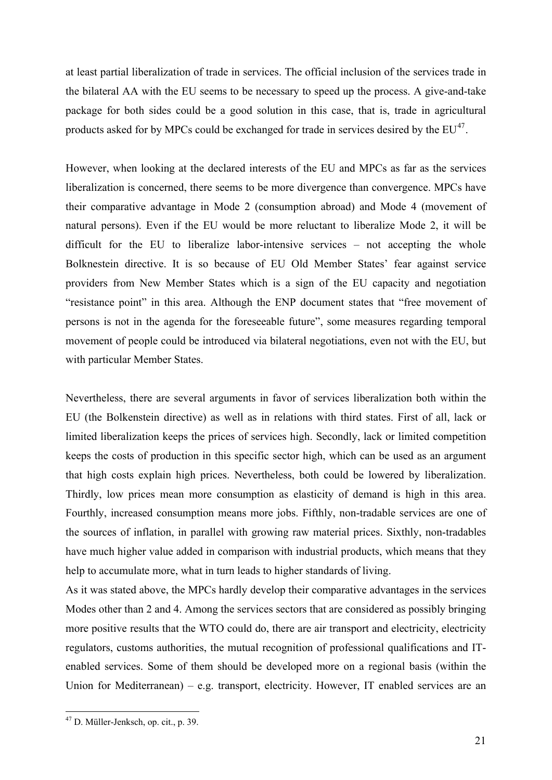at least partial liberalization of trade in services. The official inclusion of the services trade in the bilateral AA with the EU seems to be necessary to speed up the process. A give-and-take package for both sides could be a good solution in this case, that is, trade in agricultural products asked for by MPCs could be exchanged for trade in services desired by the  $EU^{47}$  $EU^{47}$  $EU^{47}$ .

However, when looking at the declared interests of the EU and MPCs as far as the services liberalization is concerned, there seems to be more divergence than convergence. MPCs have their comparative advantage in Mode 2 (consumption abroad) and Mode 4 (movement of natural persons). Even if the EU would be more reluctant to liberalize Mode 2, it will be difficult for the EU to liberalize labor-intensive services – not accepting the whole Bolknestein directive. It is so because of EU Old Member States' fear against service providers from New Member States which is a sign of the EU capacity and negotiation "resistance point" in this area. Although the ENP document states that "free movement of persons is not in the agenda for the foreseeable future", some measures regarding temporal movement of people could be introduced via bilateral negotiations, even not with the EU, but with particular Member States.

Nevertheless, there are several arguments in favor of services liberalization both within the EU (the Bolkenstein directive) as well as in relations with third states. First of all, lack or limited liberalization keeps the prices of services high. Secondly, lack or limited competition keeps the costs of production in this specific sector high, which can be used as an argument that high costs explain high prices. Nevertheless, both could be lowered by liberalization. Thirdly, low prices mean more consumption as elasticity of demand is high in this area. Fourthly, increased consumption means more jobs. Fifthly, non-tradable services are one of the sources of inflation, in parallel with growing raw material prices. Sixthly, non-tradables have much higher value added in comparison with industrial products, which means that they help to accumulate more, what in turn leads to higher standards of living.

As it was stated above, the MPCs hardly develop their comparative advantages in the services Modes other than 2 and 4. Among the services sectors that are considered as possibly bringing more positive results that the WTO could do, there are air transport and electricity, electricity regulators, customs authorities, the mutual recognition of professional qualifications and ITenabled services. Some of them should be developed more on a regional basis (within the Union for Mediterranean) – e.g. transport, electricity. However, IT enabled services are an

<span id="page-20-0"></span><sup>47</sup> D. Müller-Jenksch, op. cit., p. 39.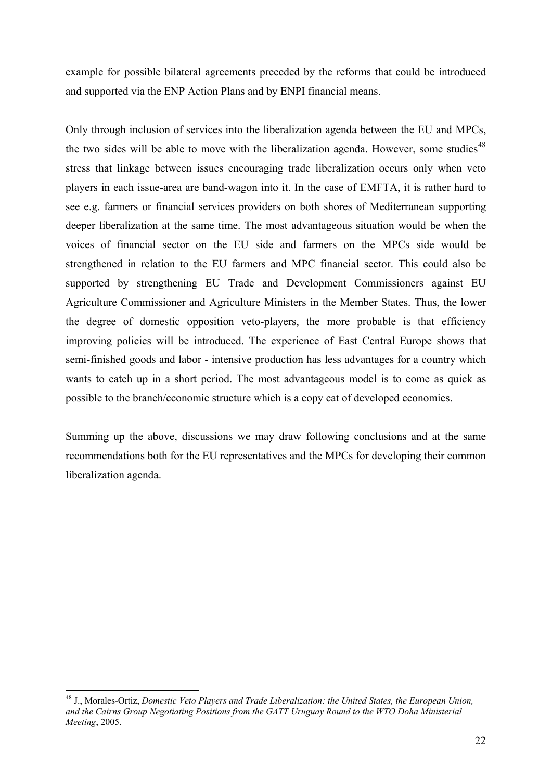example for possible bilateral agreements preceded by the reforms that could be introduced and supported via the ENP Action Plans and by ENPI financial means.

Only through inclusion of services into the liberalization agenda between the EU and MPCs, the two sides will be able to move with the liberalization agenda. However, some studies<sup>[48](#page-21-0)</sup> stress that linkage between issues encouraging trade liberalization occurs only when veto players in each issue-area are band-wagon into it. In the case of EMFTA, it is rather hard to see e.g. farmers or financial services providers on both shores of Mediterranean supporting deeper liberalization at the same time. The most advantageous situation would be when the voices of financial sector on the EU side and farmers on the MPCs side would be strengthened in relation to the EU farmers and MPC financial sector. This could also be supported by strengthening EU Trade and Development Commissioners against EU Agriculture Commissioner and Agriculture Ministers in the Member States. Thus, the lower the degree of domestic opposition veto-players, the more probable is that efficiency improving policies will be introduced. The experience of East Central Europe shows that semi-finished goods and labor - intensive production has less advantages for a country which wants to catch up in a short period. The most advantageous model is to come as quick as possible to the branch/economic structure which is a copy cat of developed economies.

Summing up the above, discussions we may draw following conclusions and at the same recommendations both for the EU representatives and the MPCs for developing their common liberalization agenda.

<span id="page-21-0"></span><sup>48</sup> J., Morales-Ortiz, *Domestic Veto Players and Trade Liberalization: the United States, the European Union, and the Cairns Group Negotiating Positions from the GATT Uruguay Round to the WTO Doha Ministerial Meeting*, 2005.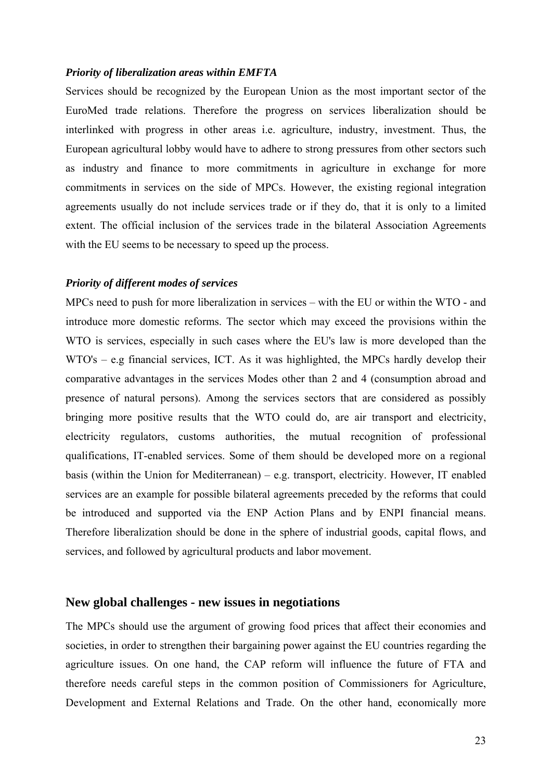### *Priority of liberalization areas within EMFTA*

Services should be recognized by the European Union as the most important sector of the EuroMed trade relations. Therefore the progress on services liberalization should be interlinked with progress in other areas i.e. agriculture, industry, investment. Thus, the European agricultural lobby would have to adhere to strong pressures from other sectors such as industry and finance to more commitments in agriculture in exchange for more commitments in services on the side of MPCs. However, the existing regional integration agreements usually do not include services trade or if they do, that it is only to a limited extent. The official inclusion of the services trade in the bilateral Association Agreements with the EU seems to be necessary to speed up the process.

#### *Priority of different modes of services*

MPCs need to push for more liberalization in services – with the EU or within the WTO - and introduce more domestic reforms. The sector which may exceed the provisions within the WTO is services, especially in such cases where the EU's law is more developed than the WTO's – e.g financial services, ICT. As it was highlighted, the MPCs hardly develop their comparative advantages in the services Modes other than 2 and 4 (consumption abroad and presence of natural persons). Among the services sectors that are considered as possibly bringing more positive results that the WTO could do, are air transport and electricity, electricity regulators, customs authorities, the mutual recognition of professional qualifications, IT-enabled services. Some of them should be developed more on a regional basis (within the Union for Mediterranean) – e.g. transport, electricity. However, IT enabled services are an example for possible bilateral agreements preceded by the reforms that could be introduced and supported via the ENP Action Plans and by ENPI financial means. Therefore liberalization should be done in the sphere of industrial goods, capital flows, and services, and followed by agricultural products and labor movement.

# **New global challenges - new issues in negotiations**

The MPCs should use the argument of growing food prices that affect their economies and societies, in order to strengthen their bargaining power against the EU countries regarding the agriculture issues. On one hand, the CAP reform will influence the future of FTA and therefore needs careful steps in the common position of Commissioners for Agriculture, Development and External Relations and Trade. On the other hand, economically more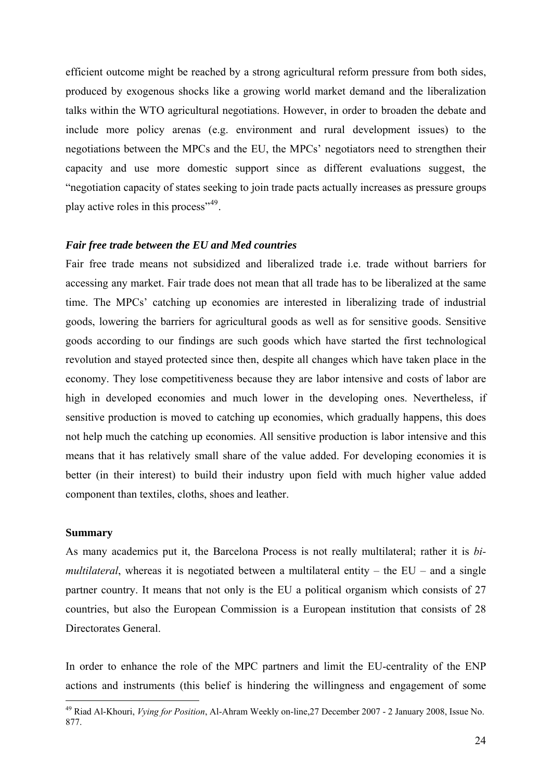efficient outcome might be reached by a strong agricultural reform pressure from both sides, produced by exogenous shocks like a growing world market demand and the liberalization talks within the WTO agricultural negotiations. However, in order to broaden the debate and include more policy arenas (e.g. environment and rural development issues) to the negotiations between the MPCs and the EU, the MPCs' negotiators need to strengthen their capacity and use more domestic support since as different evaluations suggest, the "negotiation capacity of states seeking to join trade pacts actually increases as pressure groups play active roles in this process"[49](#page-23-0).

### *Fair free trade between the EU and Med countries*

Fair free trade means not subsidized and liberalized trade i.e. trade without barriers for accessing any market. Fair trade does not mean that all trade has to be liberalized at the same time. The MPCs' catching up economies are interested in liberalizing trade of industrial goods, lowering the barriers for agricultural goods as well as for sensitive goods. Sensitive goods according to our findings are such goods which have started the first technological revolution and stayed protected since then, despite all changes which have taken place in the economy. They lose competitiveness because they are labor intensive and costs of labor are high in developed economies and much lower in the developing ones. Nevertheless, if sensitive production is moved to catching up economies, which gradually happens, this does not help much the catching up economies. All sensitive production is labor intensive and this means that it has relatively small share of the value added. For developing economies it is better (in their interest) to build their industry upon field with much higher value added component than textiles, cloths, shoes and leather.

#### **Summary**

1

As many academics put it, the Barcelona Process is not really multilateral; rather it is *bimultilateral*, whereas it is negotiated between a multilateral entity – the EU – and a single partner country. It means that not only is the EU a political organism which consists of 27 countries, but also the European Commission is a European institution that consists of 28 Directorates General.

In order to enhance the role of the MPC partners and limit the EU-centrality of the ENP actions and instruments (this belief is hindering the willingness and engagement of some

<span id="page-23-0"></span><sup>49</sup> Riad Al-Khouri, *Vying for Position*, Al-Ahram Weekly on-line,27 December 2007 - 2 January 2008, Issue No. 877.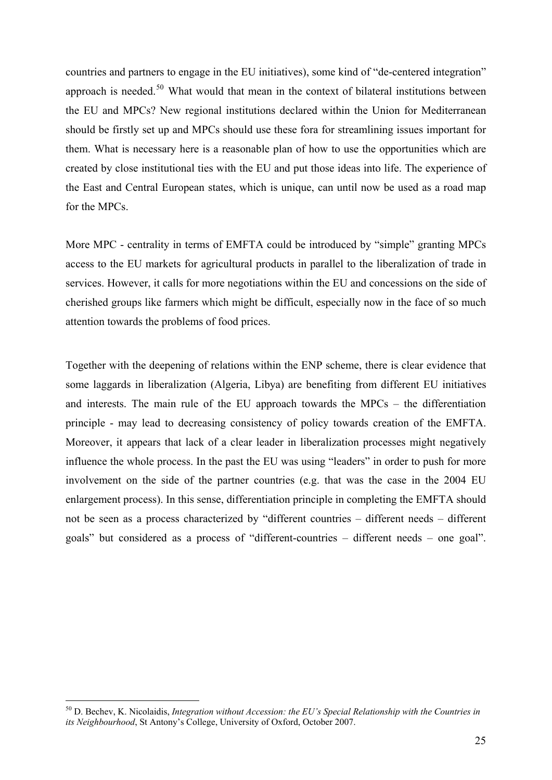countries and partners to engage in the EU initiatives), some kind of "de-centered integration" approach is needed.<sup>[50](#page-24-0)</sup> What would that mean in the context of bilateral institutions between the EU and MPCs? New regional institutions declared within the Union for Mediterranean should be firstly set up and MPCs should use these fora for streamlining issues important for them. What is necessary here is a reasonable plan of how to use the opportunities which are created by close institutional ties with the EU and put those ideas into life. The experience of the East and Central European states, which is unique, can until now be used as a road map for the MPCs.

More MPC - centrality in terms of EMFTA could be introduced by "simple" granting MPCs access to the EU markets for agricultural products in parallel to the liberalization of trade in services. However, it calls for more negotiations within the EU and concessions on the side of cherished groups like farmers which might be difficult, especially now in the face of so much attention towards the problems of food prices.

Together with the deepening of relations within the ENP scheme, there is clear evidence that some laggards in liberalization (Algeria, Libya) are benefiting from different EU initiatives and interests. The main rule of the EU approach towards the MPCs – the differentiation principle - may lead to decreasing consistency of policy towards creation of the EMFTA. Moreover, it appears that lack of a clear leader in liberalization processes might negatively influence the whole process. In the past the EU was using "leaders" in order to push for more involvement on the side of the partner countries (e.g. that was the case in the 2004 EU enlargement process). In this sense, differentiation principle in completing the EMFTA should not be seen as a process characterized by "different countries – different needs – different goals" but considered as a process of "different-countries – different needs – one goal".

<span id="page-24-0"></span><sup>50</sup> D. Bechev, K. Nicolaidis, *Integration without Accession: the EU's Special Relationship with the Countries in its Neighbourhood*, St Antony's College, University of Oxford, October 2007.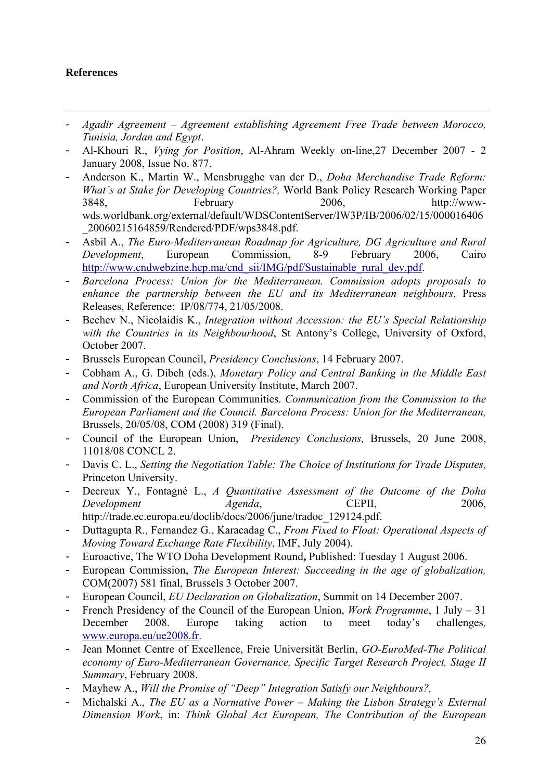# **References**

- *Agadir Agreement Agreement establishing Agreement Free Trade between Morocco, Tunisia, Jordan and Egypt*.
- Al-Khouri R., *Vying for Position*, Al-Ahram Weekly on-line,27 December 2007 2 January 2008, Issue No. 877.
- Anderson K., Martin W., Mensbrugghe van der D., *Doha Merchandise Trade Reform: What's at Stake for Developing Countries?,* World Bank Policy Research Working Paper 3848, February 2006, http://wwwwds.worldbank.org/external/default/WDSContentServer/IW3P/IB/2006/02/15/000016406 \_20060215164859/Rendered/PDF/wps3848.pdf.
- Asbil A., *The Euro-Mediterranean Roadmap for Agriculture, DG Agriculture and Rural Development*, European Commission, 8-9 February 2006, Cairo [http://www.cndwebzine.hcp.ma/cnd\\_sii/IMG/pdf/Sustainable\\_rural\\_dev.pdf](http://www.cndwebzine.hcp.ma/cnd_sii/IMG/pdf/Sustainable_rural_dev.pdf).
- *Barcelona Process: Union for the Mediterranean. Commission adopts proposals to enhance the partnership between the EU and its Mediterranean neighbours*, Press Releases, Reference: IP/08/774, 21/05/2008.
- Bechev N., Nicolaidis K., *Integration without Accession: the EU's Special Relationship with the Countries in its Neighbourhood*, St Antony's College, University of Oxford, October 2007.
- Brussels European Council, *Presidency Conclusions*, 14 February 2007.
- Cobham A., G. Dibeh (eds.), *Monetary Policy and Central Banking in the Middle East and North Africa*, European University Institute, March 2007.
- Commission of the European Communities. *Communication from the Commission to the European Parliament and the Council. Barcelona Process: Union for the Mediterranean,*  Brussels, 20/05/08, COM (2008) 319 (Final).
- Council of the European Union, *Presidency Conclusions,* Brussels, 20 June 2008, 11018/08 CONCL 2.
- Davis C. L., *Setting the Negotiation Table: The Choice of Institutions for Trade Disputes,*  Princeton University.
- Decreux Y., Fontagné L., *A Quantitative Assessment of the Outcome of the Doha Development Agenda*, CEPII, 2006, http://trade.ec.europa.eu/doclib/docs/2006/june/tradoc\_129124.pdf.
- Duttagupta R., Fernandez G., Karacadag C., *From Fixed to Float: Operational Aspects of Moving Toward Exchange Rate Flexibility*, IMF, July 2004).
- Euroactive, The WTO Doha Development Round**,** Published: Tuesday 1 August 2006.
- European Commission, *The European Interest: Succeeding in the age of globalization,* COM(2007) 581 final, Brussels 3 October 2007.
- European Council, *EU Declaration on Globalization*, Summit on 14 December 2007.
- French Presidency of the Council of the European Union, *Work Programme*, 1 July 31 December 2008. Europe taking action to meet today's challenges*,* [www.europa.eu/ue2008.fr](http://www.europa.eu/ue2008.fr).
- Jean Monnet Centre of Excellence, Freie Universität Berlin, *GO-EuroMed-The Political economy of Euro-Mediterranean Governance, Specific Target Research Project, Stage II Summary*, February 2008.
- Mayhew A., *Will the Promise of "Deep" Integration Satisfy our Neighbours?,*
- Michalski A., *The EU as a Normative Power Making the Lisbon Strategy's External Dimension Work*, in: *Think Global Act European, The Contribution of the European*